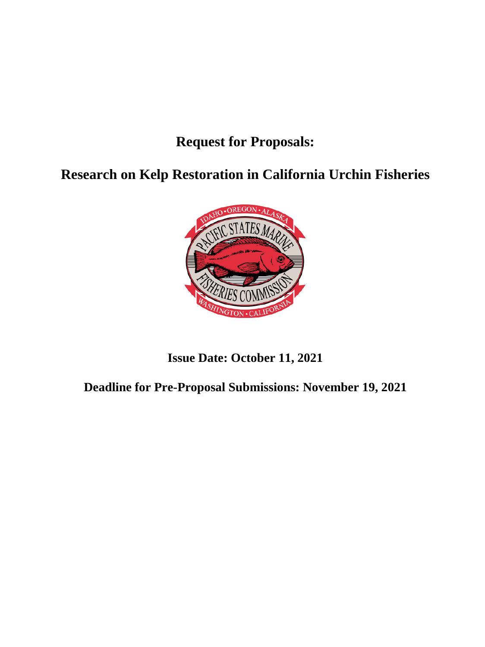# **Request for Proposals:**

**Research on Kelp Restoration in California Urchin Fisheries**



# **Issue Date: October 11, 2021**

**Deadline for Pre-Proposal Submissions: November 19, 2021**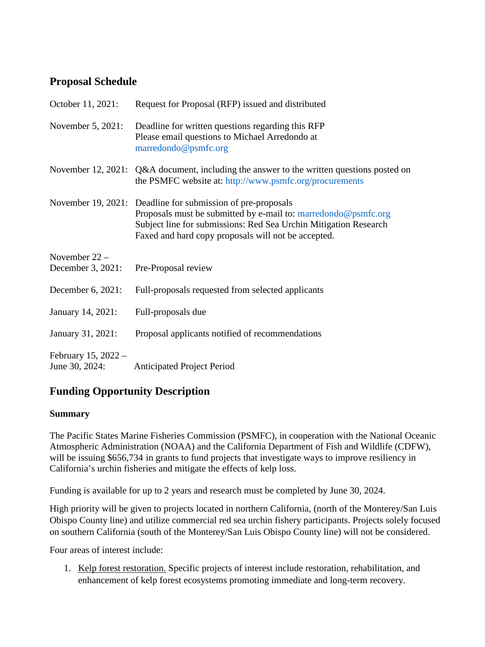# **Proposal Schedule**

| October 11, 2021:                       | Request for Proposal (RFP) issued and distributed                                                                                                                                                                                                        |
|-----------------------------------------|----------------------------------------------------------------------------------------------------------------------------------------------------------------------------------------------------------------------------------------------------------|
| November 5, 2021:                       | Deadline for written questions regarding this RFP<br>Please email questions to Michael Arredondo at<br>marredondo@psmfc.org                                                                                                                              |
| November 12, 2021:                      | Q&A document, including the answer to the written questions posted on<br>the PSMFC website at: http://www.psmfc.org/procurements                                                                                                                         |
|                                         | November 19, 2021: Deadline for submission of pre-proposals<br>Proposals must be submitted by e-mail to: marredondo@psmfc.org<br>Subject line for submissions: Red Sea Urchin Mitigation Research<br>Faxed and hard copy proposals will not be accepted. |
| November 22 -<br>December 3, 2021:      | Pre-Proposal review                                                                                                                                                                                                                                      |
| December 6, 2021:                       | Full-proposals requested from selected applicants                                                                                                                                                                                                        |
| January 14, 2021:                       | Full-proposals due                                                                                                                                                                                                                                       |
| January 31, 2021:                       | Proposal applicants notified of recommendations                                                                                                                                                                                                          |
| February 15, $2022 -$<br>June 30, 2024: | <b>Anticipated Project Period</b>                                                                                                                                                                                                                        |

# **Funding Opportunity Description**

## **Summary**

The Pacific States Marine Fisheries Commission (PSMFC), in cooperation with the National Oceanic Atmospheric Administration (NOAA) and the California Department of Fish and Wildlife (CDFW), will be issuing \$656,734 in grants to fund projects that investigate ways to improve resiliency in California's urchin fisheries and mitigate the effects of kelp loss.

Funding is available for up to 2 years and research must be completed by June 30, 2024.

High priority will be given to projects located in northern California, (north of the Monterey/San Luis Obispo County line) and utilize commercial red sea urchin fishery participants. Projects solely focused on southern California (south of the Monterey/San Luis Obispo County line) will not be considered.

Four areas of interest include:

1. Kelp forest restoration. Specific projects of interest include restoration, rehabilitation, and enhancement of kelp forest ecosystems promoting immediate and long-term recovery.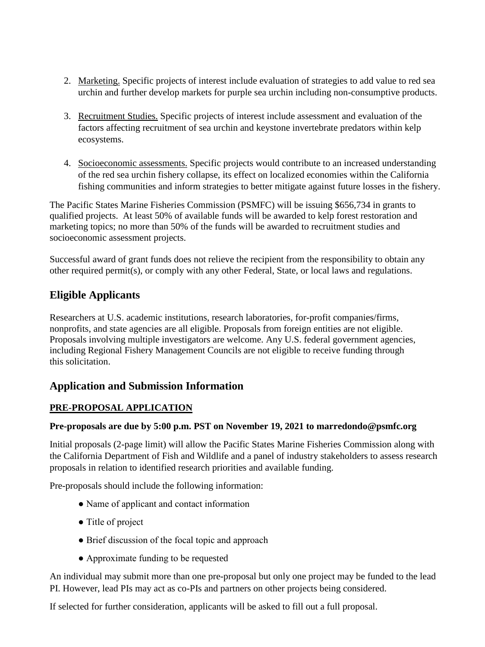- 2. Marketing. Specific projects of interest include evaluation of strategies to add value to red sea urchin and further develop markets for purple sea urchin including non-consumptive products.
- 3. Recruitment Studies. Specific projects of interest include assessment and evaluation of the factors affecting recruitment of sea urchin and keystone invertebrate predators within kelp ecosystems.
- 4. Socioeconomic assessments. Specific projects would contribute to an increased understanding of the red sea urchin fishery collapse, its effect on localized economies within the California fishing communities and inform strategies to better mitigate against future losses in the fishery.

The Pacific States Marine Fisheries Commission (PSMFC) will be issuing \$656,734 in grants to qualified projects. At least 50% of available funds will be awarded to kelp forest restoration and marketing topics; no more than 50% of the funds will be awarded to recruitment studies and socioeconomic assessment projects.

Successful award of grant funds does not relieve the recipient from the responsibility to obtain any other required permit(s), or comply with any other Federal, State, or local laws and regulations.

# **Eligible Applicants**

Researchers at U.S. academic institutions, research laboratories, for-profit companies/firms, nonprofits, and state agencies are all eligible. Proposals from foreign entities are not eligible. Proposals involving multiple investigators are welcome. Any U.S. federal government agencies, including Regional Fishery Management Councils are not eligible to receive funding through this solicitation.

## **Application and Submission Information**

## **PRE-PROPOSAL APPLICATION**

## **Pre-proposals are due by 5:00 p.m. PST on November 19, 2021 to marredondo@psmfc.org**

Initial proposals (2-page limit) will allow the Pacific States Marine Fisheries Commission along with the California Department of Fish and Wildlife and a panel of industry stakeholders to assess research proposals in relation to identified research priorities and available funding.

Pre-proposals should include the following information:

- Name of applicant and contact information
- Title of project
- Brief discussion of the focal topic and approach
- Approximate funding to be requested

An individual may submit more than one pre-proposal but only one project may be funded to the lead PI. However, lead PIs may act as co-PIs and partners on other projects being considered.

If selected for further consideration, applicants will be asked to fill out a full proposal.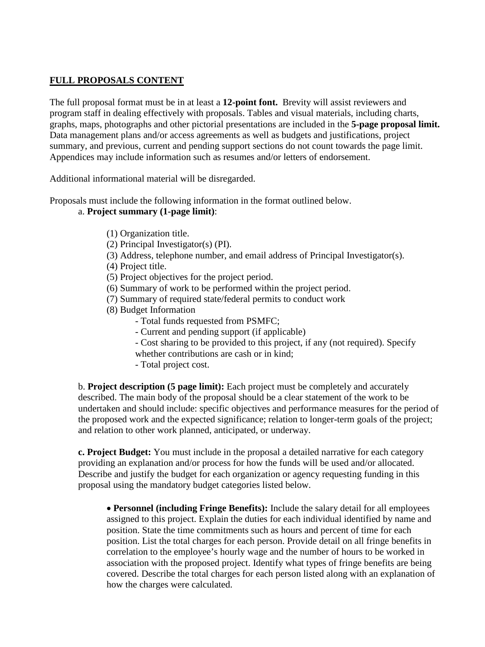### **FULL PROPOSALS CONTENT**

The full proposal format must be in at least a **12-point font.** Brevity will assist reviewers and program staff in dealing effectively with proposals. Tables and visual materials, including charts, graphs, maps, photographs and other pictorial presentations are included in the **5-page proposal limit.**  Data management plans and/or access agreements as well as budgets and justifications, project summary, and previous, current and pending support sections do not count towards the page limit. Appendices may include information such as resumes and/or letters of endorsement.

Additional informational material will be disregarded.

Proposals must include the following information in the format outlined below.

### a. **Project summary (1-page limit)**:

- (1) Organization title.
- (2) Principal Investigator(s) (PI).
- (3) Address, telephone number, and email address of Principal Investigator(s).
- (4) Project title.
- (5) Project objectives for the project period.
- (6) Summary of work to be performed within the project period.
- (7) Summary of required state/federal permits to conduct work
- (8) Budget Information
	- Total funds requested from PSMFC;
		- Current and pending support (if applicable)
		- Cost sharing to be provided to this project, if any (not required). Specify whether contributions are cash or in kind;
		- Total project cost.

b. **Project description (5 page limit):** Each project must be completely and accurately described. The main body of the proposal should be a clear statement of the work to be undertaken and should include: specific objectives and performance measures for the period of the proposed work and the expected significance; relation to longer-term goals of the project; and relation to other work planned, anticipated, or underway.

**c. Project Budget:** You must include in the proposal a detailed narrative for each category providing an explanation and/or process for how the funds will be used and/or allocated. Describe and justify the budget for each organization or agency requesting funding in this proposal using the mandatory budget categories listed below.

• **Personnel (including Fringe Benefits):** Include the salary detail for all employees assigned to this project. Explain the duties for each individual identified by name and position. State the time commitments such as hours and percent of time for each position. List the total charges for each person. Provide detail on all fringe benefits in correlation to the employee's hourly wage and the number of hours to be worked in association with the proposed project. Identify what types of fringe benefits are being covered. Describe the total charges for each person listed along with an explanation of how the charges were calculated.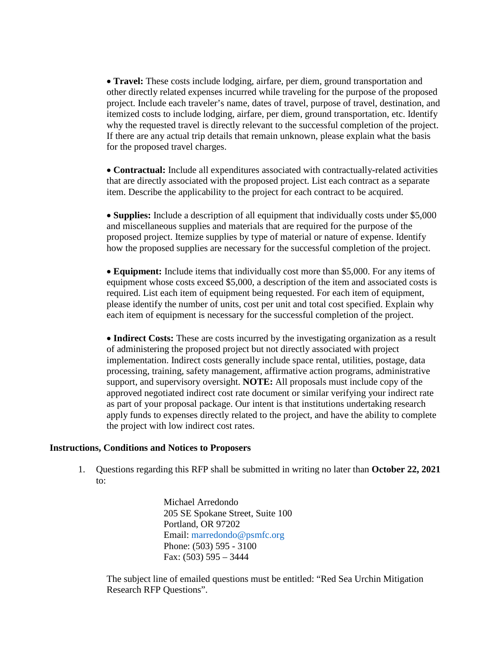• **Travel:** These costs include lodging, airfare, per diem, ground transportation and other directly related expenses incurred while traveling for the purpose of the proposed project. Include each traveler's name, dates of travel, purpose of travel, destination, and itemized costs to include lodging, airfare, per diem, ground transportation, etc. Identify why the requested travel is directly relevant to the successful completion of the project. If there are any actual trip details that remain unknown, please explain what the basis for the proposed travel charges.

• **Contractual:** Include all expenditures associated with contractually-related activities that are directly associated with the proposed project. List each contract as a separate item. Describe the applicability to the project for each contract to be acquired.

• **Supplies:** Include a description of all equipment that individually costs under \$5,000 and miscellaneous supplies and materials that are required for the purpose of the proposed project. Itemize supplies by type of material or nature of expense. Identify how the proposed supplies are necessary for the successful completion of the project.

• **Equipment:** Include items that individually cost more than \$5,000. For any items of equipment whose costs exceed \$5,000, a description of the item and associated costs is required. List each item of equipment being requested. For each item of equipment, please identify the number of units, cost per unit and total cost specified. Explain why each item of equipment is necessary for the successful completion of the project.

• **Indirect Costs:** These are costs incurred by the investigating organization as a result of administering the proposed project but not directly associated with project implementation. Indirect costs generally include space rental, utilities, postage, data processing, training, safety management, affirmative action programs, administrative support, and supervisory oversight. **NOTE:** All proposals must include copy of the approved negotiated indirect cost rate document or similar verifying your indirect rate as part of your proposal package. Our intent is that institutions undertaking research apply funds to expenses directly related to the project, and have the ability to complete the project with low indirect cost rates.

#### **Instructions, Conditions and Notices to Proposers**

1. Questions regarding this RFP shall be submitted in writing no later than **October 22, 2021** to:

> Michael Arredondo 205 SE Spokane Street, Suite 100 Portland, OR 97202 Email: marredondo@psmfc.org Phone: (503) 595 - 3100 Fax: (503) 595 – 3444

The subject line of emailed questions must be entitled: "Red Sea Urchin Mitigation Research RFP Questions".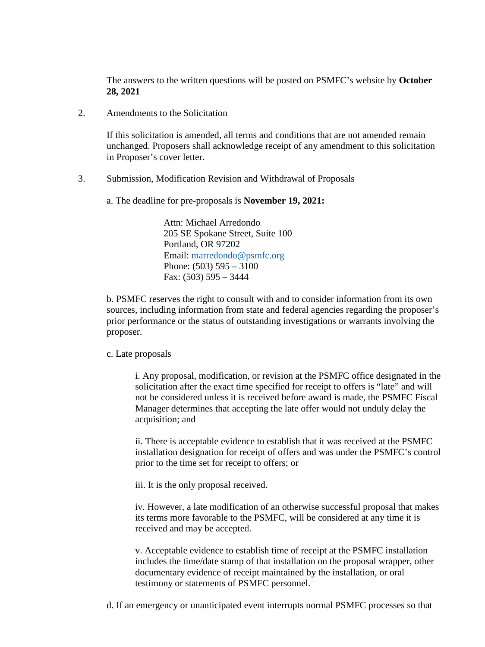The answers to the written questions will be posted on PSMFC's website by **October 28, 2021**

2. Amendments to the Solicitation

If this solicitation is amended, all terms and conditions that are not amended remain unchanged. Proposers shall acknowledge receipt of any amendment to this solicitation in Proposer's cover letter.

- 3. Submission, Modification Revision and Withdrawal of Proposals
	- a. The deadline for pre-proposals is **November 19, 2021:**

Attn: Michael Arredondo 205 SE Spokane Street, Suite 100 Portland, OR 97202 Email: marredondo@psmfc.org Phone: (503) 595 – 3100 Fax: (503) 595 – 3444

b. PSMFC reserves the right to consult with and to consider information from its own sources, including information from state and federal agencies regarding the proposer's prior performance or the status of outstanding investigations or warrants involving the proposer.

#### c. Late proposals

i. Any proposal, modification, or revision at the PSMFC office designated in the solicitation after the exact time specified for receipt to offers is "late" and will not be considered unless it is received before award is made, the PSMFC Fiscal Manager determines that accepting the late offer would not unduly delay the acquisition; and

ii. There is acceptable evidence to establish that it was received at the PSMFC installation designation for receipt of offers and was under the PSMFC's control prior to the time set for receipt to offers; or

iii. It is the only proposal received.

iv. However, a late modification of an otherwise successful proposal that makes its terms more favorable to the PSMFC, will be considered at any time it is received and may be accepted.

v. Acceptable evidence to establish time of receipt at the PSMFC installation includes the time/date stamp of that installation on the proposal wrapper, other documentary evidence of receipt maintained by the installation, or oral testimony or statements of PSMFC personnel.

d. If an emergency or unanticipated event interrupts normal PSMFC processes so that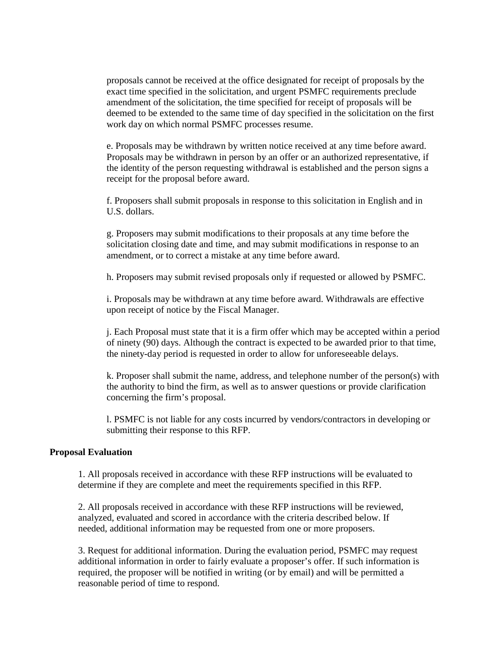proposals cannot be received at the office designated for receipt of proposals by the exact time specified in the solicitation, and urgent PSMFC requirements preclude amendment of the solicitation, the time specified for receipt of proposals will be deemed to be extended to the same time of day specified in the solicitation on the first work day on which normal PSMFC processes resume.

e. Proposals may be withdrawn by written notice received at any time before award. Proposals may be withdrawn in person by an offer or an authorized representative, if the identity of the person requesting withdrawal is established and the person signs a receipt for the proposal before award.

f. Proposers shall submit proposals in response to this solicitation in English and in U.S. dollars.

g. Proposers may submit modifications to their proposals at any time before the solicitation closing date and time, and may submit modifications in response to an amendment, or to correct a mistake at any time before award.

h. Proposers may submit revised proposals only if requested or allowed by PSMFC.

i. Proposals may be withdrawn at any time before award. Withdrawals are effective upon receipt of notice by the Fiscal Manager.

j. Each Proposal must state that it is a firm offer which may be accepted within a period of ninety (90) days. Although the contract is expected to be awarded prior to that time, the ninety-day period is requested in order to allow for unforeseeable delays.

k. Proposer shall submit the name, address, and telephone number of the person(s) with the authority to bind the firm, as well as to answer questions or provide clarification concerning the firm's proposal.

l. PSMFC is not liable for any costs incurred by vendors/contractors in developing or submitting their response to this RFP.

#### **Proposal Evaluation**

1. All proposals received in accordance with these RFP instructions will be evaluated to determine if they are complete and meet the requirements specified in this RFP.

2. All proposals received in accordance with these RFP instructions will be reviewed, analyzed, evaluated and scored in accordance with the criteria described below. If needed, additional information may be requested from one or more proposers.

3. Request for additional information. During the evaluation period, PSMFC may request additional information in order to fairly evaluate a proposer's offer. If such information is required, the proposer will be notified in writing (or by email) and will be permitted a reasonable period of time to respond.